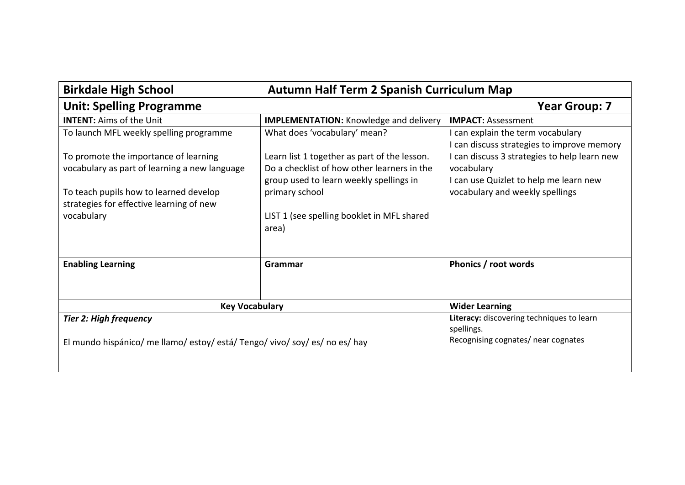| Autumn Half Term 2 Spanish Curriculum Map<br><b>Birkdale High School</b>    |                                               |                                              |
|-----------------------------------------------------------------------------|-----------------------------------------------|----------------------------------------------|
| <b>Unit: Spelling Programme</b>                                             |                                               | <b>Year Group: 7</b>                         |
| <b>INTENT: Aims of the Unit</b>                                             | <b>IMPLEMENTATION:</b> Knowledge and delivery | <b>IMPACT: Assessment</b>                    |
| To launch MFL weekly spelling programme                                     | What does 'vocabulary' mean?                  | I can explain the term vocabulary            |
|                                                                             |                                               | can discuss strategies to improve memory     |
| To promote the importance of learning                                       | Learn list 1 together as part of the lesson.  | I can discuss 3 strategies to help learn new |
| vocabulary as part of learning a new language                               | Do a checklist of how other learners in the   | vocabulary                                   |
|                                                                             | group used to learn weekly spellings in       | I can use Quizlet to help me learn new       |
| To teach pupils how to learned develop                                      | primary school                                | vocabulary and weekly spellings              |
| strategies for effective learning of new                                    |                                               |                                              |
| vocabulary                                                                  | LIST 1 (see spelling booklet in MFL shared    |                                              |
|                                                                             | area)                                         |                                              |
|                                                                             |                                               |                                              |
| <b>Enabling Learning</b>                                                    | Grammar                                       | Phonics / root words                         |
|                                                                             |                                               |                                              |
|                                                                             |                                               |                                              |
| <b>Key Vocabulary</b>                                                       |                                               | <b>Wider Learning</b>                        |
| <b>Tier 2: High frequency</b>                                               |                                               | Literacy: discovering techniques to learn    |
|                                                                             |                                               | spellings.                                   |
| El mundo hispánico/ me llamo/ estoy/ está/ Tengo/ vivo/ soy/ es/ no es/ hay |                                               | Recognising cognates/ near cognates          |
|                                                                             |                                               |                                              |
|                                                                             |                                               |                                              |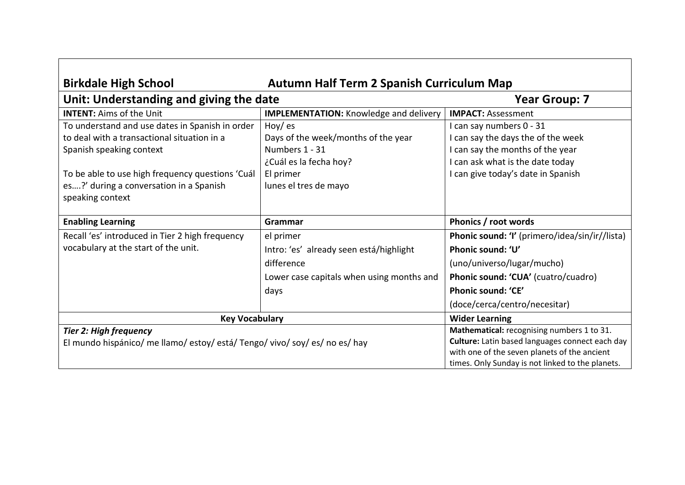| Autumn Half Term 2 Spanish Curriculum Map<br><b>Birkdale High School</b>    |                                               |                                                  |
|-----------------------------------------------------------------------------|-----------------------------------------------|--------------------------------------------------|
| Unit: Understanding and giving the date                                     |                                               | <b>Year Group: 7</b>                             |
| <b>INTENT: Aims of the Unit</b>                                             | <b>IMPLEMENTATION:</b> Knowledge and delivery | <b>IMPACT: Assessment</b>                        |
| To understand and use dates in Spanish in order                             | How/ es                                       | can say numbers 0 - 31                           |
| to deal with a transactional situation in a                                 | Days of the week/months of the year           | can say the days the of the week                 |
| Spanish speaking context                                                    | Numbers 1 - 31                                | can say the months of the year                   |
|                                                                             | ¿Cuál es la fecha hoy?                        | can ask what is the date today                   |
| To be able to use high frequency questions 'Cuál                            | El primer                                     | can give today's date in Spanish                 |
| es?' during a conversation in a Spanish                                     | lunes el tres de mayo                         |                                                  |
| speaking context                                                            |                                               |                                                  |
|                                                                             |                                               |                                                  |
| <b>Enabling Learning</b>                                                    | Grammar                                       | Phonics / root words                             |
| Recall 'es' introduced in Tier 2 high frequency                             | el primer                                     | Phonic sound: 'I' (primero/idea/sin/ir//lista)   |
| vocabulary at the start of the unit.                                        | Intro: 'es' already seen está/highlight       | Phonic sound: 'U'                                |
|                                                                             | difference                                    | (uno/universo/lugar/mucho)                       |
|                                                                             | Lower case capitals when using months and     | Phonic sound: 'CUA' (cuatro/cuadro)              |
|                                                                             | days                                          | Phonic sound: 'CE'                               |
|                                                                             |                                               | (doce/cerca/centro/necesitar)                    |
| <b>Key Vocabulary</b>                                                       |                                               | <b>Wider Learning</b>                            |
| <b>Tier 2: High frequency</b>                                               |                                               | Mathematical: recognising numbers 1 to 31.       |
| El mundo hispánico/ me llamo/ estoy/ está/ Tengo/ vivo/ soy/ es/ no es/ hay |                                               | Culture: Latin based languages connect each day  |
|                                                                             |                                               | with one of the seven planets of the ancient     |
|                                                                             |                                               | times. Only Sunday is not linked to the planets. |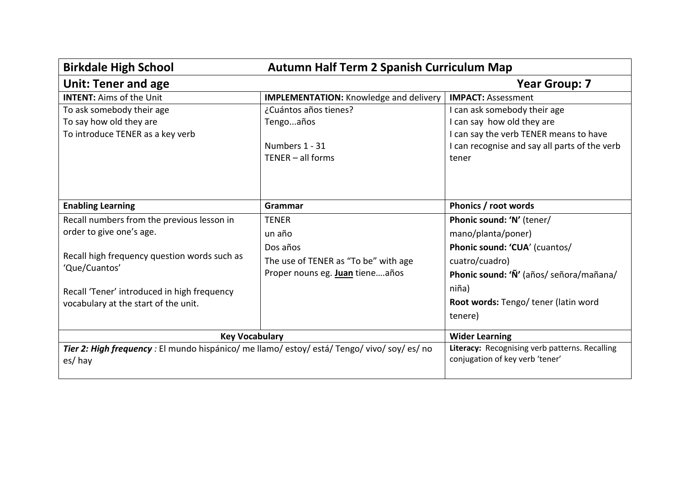| <b>Birkdale High School</b>                                                                  | <b>Autumn Half Term 2 Spanish Curriculum Map</b> |                                                |
|----------------------------------------------------------------------------------------------|--------------------------------------------------|------------------------------------------------|
| <b>Unit: Tener and age</b>                                                                   |                                                  | <b>Year Group: 7</b>                           |
| <b>INTENT: Aims of the Unit</b>                                                              | <b>IMPLEMENTATION:</b> Knowledge and delivery    | <b>IMPACT: Assessment</b>                      |
| To ask somebody their age                                                                    | ¿Cuántos años tienes?                            | I can ask somebody their age                   |
| To say how old they are                                                                      | Tengoaños                                        | I can say how old they are                     |
| To introduce TENER as a key verb                                                             |                                                  | I can say the verb TENER means to have         |
|                                                                                              | Numbers 1 - 31                                   | I can recognise and say all parts of the verb  |
|                                                                                              | $TENER - all forms$                              | tener                                          |
|                                                                                              |                                                  |                                                |
|                                                                                              |                                                  |                                                |
| <b>Enabling Learning</b>                                                                     | Grammar                                          | Phonics / root words                           |
| Recall numbers from the previous lesson in                                                   | <b>TENER</b>                                     | Phonic sound: 'N' (tener/                      |
| order to give one's age.                                                                     | un año                                           | mano/planta/poner)                             |
|                                                                                              | Dos años                                         | Phonic sound: 'CUA' (cuantos/                  |
| Recall high frequency question words such as                                                 | The use of TENER as "To be" with age             | cuatro/cuadro)                                 |
| 'Que/Cuantos'                                                                                | Proper nouns eg. Juan tieneaños                  | Phonic sound: 'Ñ' (años/ señora/mañana/        |
| Recall 'Tener' introduced in high frequency                                                  |                                                  | niña)                                          |
| vocabulary at the start of the unit.                                                         |                                                  | Root words: Tengo/tener (latin word            |
|                                                                                              |                                                  | tenere)                                        |
| <b>Key Vocabulary</b>                                                                        |                                                  | <b>Wider Learning</b>                          |
| Tier 2: High frequency : El mundo hispánico/ me llamo/ estoy/ está/ Tengo/ vivo/ soy/ es/ no |                                                  | Literacy: Recognising verb patterns. Recalling |
| es/hay                                                                                       |                                                  | conjugation of key verb 'tener'                |
|                                                                                              |                                                  |                                                |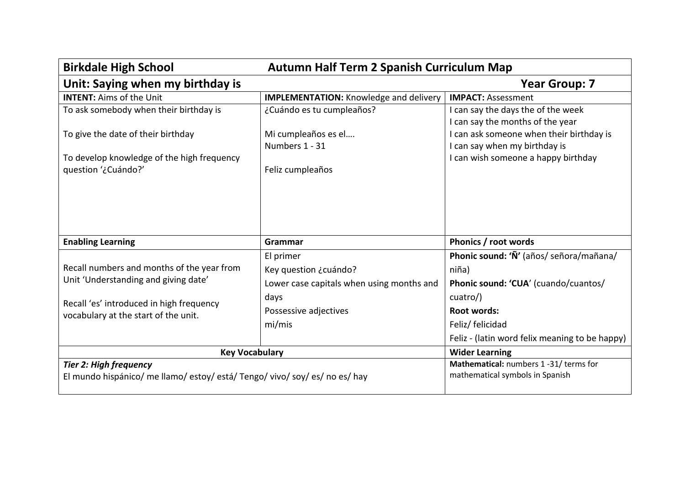| <b>Birkdale High School</b>                                                      | <b>Autumn Half Term 2 Spanish Curriculum Map</b> |                                                                        |
|----------------------------------------------------------------------------------|--------------------------------------------------|------------------------------------------------------------------------|
| Unit: Saying when my birthday is                                                 |                                                  | <b>Year Group: 7</b>                                                   |
| <b>INTENT: Aims of the Unit</b>                                                  | <b>IMPLEMENTATION:</b> Knowledge and delivery    | <b>IMPACT: Assessment</b>                                              |
| To ask somebody when their birthday is                                           | ¿Cuándo es tu cumpleaños?                        | I can say the days the of the week<br>I can say the months of the year |
| To give the date of their birthday                                               | Mi cumpleaños es el                              | I can ask someone when their birthday is                               |
|                                                                                  | Numbers 1 - 31                                   | I can say when my birthday is                                          |
| To develop knowledge of the high frequency                                       |                                                  | I can wish someone a happy birthday                                    |
| question '¿Cuándo?'                                                              | Feliz cumpleaños                                 |                                                                        |
| <b>Enabling Learning</b>                                                         | Grammar                                          | Phonics / root words                                                   |
|                                                                                  | El primer                                        | Phonic sound: 'Ñ' (años/ señora/mañana/                                |
| Recall numbers and months of the year from                                       | Key question ¿cuándo?                            | niña)                                                                  |
| Unit 'Understanding and giving date'                                             | Lower case capitals when using months and        | Phonic sound: 'CUA' (cuando/cuantos/                                   |
| Recall 'es' introduced in high frequency<br>vocabulary at the start of the unit. | days                                             | cuatro/)                                                               |
|                                                                                  | Possessive adjectives                            | Root words:                                                            |
|                                                                                  | mi/mis                                           | Feliz/ felicidad                                                       |
|                                                                                  |                                                  | Feliz - (latin word felix meaning to be happy)                         |
| <b>Key Vocabulary</b>                                                            |                                                  | <b>Wider Learning</b>                                                  |
| <b>Tier 2: High frequency</b>                                                    |                                                  | Mathematical: numbers 1-31/terms for                                   |
| El mundo hispánico/ me llamo/ estoy/ está/ Tengo/ vivo/ soy/ es/ no es/ hay      |                                                  | mathematical symbols in Spanish                                        |
|                                                                                  |                                                  |                                                                        |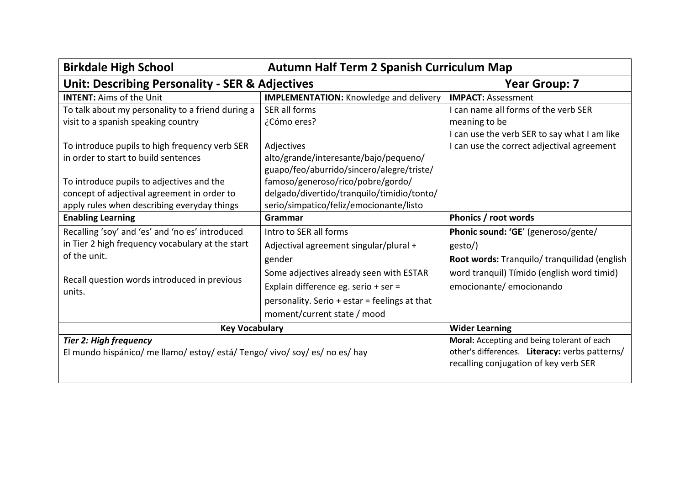| <b>Birkdale High School</b>                                                 | Autumn Half Term 2 Spanish Curriculum Map     |                                                |
|-----------------------------------------------------------------------------|-----------------------------------------------|------------------------------------------------|
| <b>Unit: Describing Personality - SER &amp; Adjectives</b>                  |                                               | <b>Year Group: 7</b>                           |
| <b>INTENT: Aims of the Unit</b>                                             | <b>IMPLEMENTATION:</b> Knowledge and delivery | <b>IMPACT: Assessment</b>                      |
| To talk about my personality to a friend during a                           | SER all forms                                 | I can name all forms of the verb SER           |
| visit to a spanish speaking country                                         | ¿Cómo eres?                                   | meaning to be                                  |
|                                                                             |                                               | I can use the verb SER to say what I am like   |
| To introduce pupils to high frequency verb SER                              | Adjectives                                    | I can use the correct adjectival agreement     |
| in order to start to build sentences                                        | alto/grande/interesante/bajo/pequeno/         |                                                |
|                                                                             | guapo/feo/aburrido/sincero/alegre/triste/     |                                                |
| To introduce pupils to adjectives and the                                   | famoso/generoso/rico/pobre/gordo/             |                                                |
| concept of adjectival agreement in order to                                 | delgado/divertido/tranquilo/timidio/tonto/    |                                                |
| apply rules when describing everyday things                                 | serio/simpatico/feliz/emocionante/listo       |                                                |
| <b>Enabling Learning</b>                                                    | Grammar                                       | Phonics / root words                           |
| Recalling 'soy' and 'es' and 'no es' introduced                             | Intro to SER all forms                        | Phonic sound: 'GE' (generoso/gente/            |
| in Tier 2 high frequency vocabulary at the start                            | Adjectival agreement singular/plural +        | gesto/)                                        |
| of the unit.                                                                | gender                                        | Root words: Tranquilo/ tranquilidad (english   |
|                                                                             | Some adjectives already seen with ESTAR       | word tranquil) Tímido (english word timid)     |
| Recall question words introduced in previous<br>units.                      | Explain difference eg. serio + ser =          | emocionante/ emocionando                       |
|                                                                             | personality. Serio + estar = feelings at that |                                                |
|                                                                             | moment/current state / mood                   |                                                |
| <b>Key Vocabulary</b>                                                       |                                               | <b>Wider Learning</b>                          |
| <b>Tier 2: High frequency</b>                                               |                                               | Moral: Accepting and being tolerant of each    |
| El mundo hispánico/ me llamo/ estoy/ está/ Tengo/ vivo/ soy/ es/ no es/ hay |                                               | other's differences. Literacy: verbs patterns/ |
|                                                                             |                                               | recalling conjugation of key verb SER          |
|                                                                             |                                               |                                                |